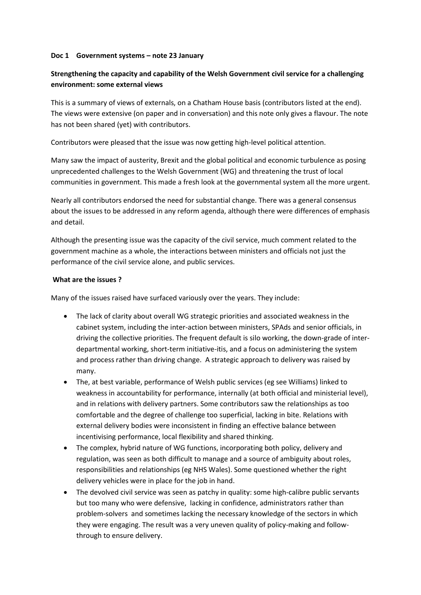### **Doc 1 Government systems – note 23 January**

# **Strengthening the capacity and capability of the Welsh Government civil service for a challenging environment: some external views**

This is a summary of views of externals, on a Chatham House basis (contributors listed at the end). The views were extensive (on paper and in conversation) and this note only gives a flavour. The note has not been shared (yet) with contributors.

Contributors were pleased that the issue was now getting high-level political attention.

Many saw the impact of austerity, Brexit and the global political and economic turbulence as posing unprecedented challenges to the Welsh Government (WG) and threatening the trust of local communities in government. This made a fresh look at the governmental system all the more urgent.

Nearly all contributors endorsed the need for substantial change. There was a general consensus about the issues to be addressed in any reform agenda, although there were differences of emphasis and detail.

Although the presenting issue was the capacity of the civil service, much comment related to the government machine as a whole, the interactions between ministers and officials not just the performance of the civil service alone, and public services.

### **What are the issues ?**

Many of the issues raised have surfaced variously over the years. They include:

- The lack of clarity about overall WG strategic priorities and associated weakness in the cabinet system, including the inter-action between ministers, SPAds and senior officials, in driving the collective priorities. The frequent default is silo working, the down-grade of interdepartmental working, short-term initiative-itis, and a focus on administering the system and process rather than driving change. A strategic approach to delivery was raised by many.
- The, at best variable, performance of Welsh public services (eg see Williams) linked to weakness in accountability for performance, internally (at both official and ministerial level), and in relations with delivery partners. Some contributors saw the relationships as too comfortable and the degree of challenge too superficial, lacking in bite. Relations with external delivery bodies were inconsistent in finding an effective balance between incentivising performance, local flexibility and shared thinking.
- The complex, hybrid nature of WG functions, incorporating both policy, delivery and regulation, was seen as both difficult to manage and a source of ambiguity about roles, responsibilities and relationships (eg NHS Wales). Some questioned whether the right delivery vehicles were in place for the job in hand.
- The devolved civil service was seen as patchy in quality: some high-calibre public servants but too many who were defensive, lacking in confidence, administrators rather than problem-solvers and sometimes lacking the necessary knowledge of the sectors in which they were engaging. The result was a very uneven quality of policy-making and followthrough to ensure delivery.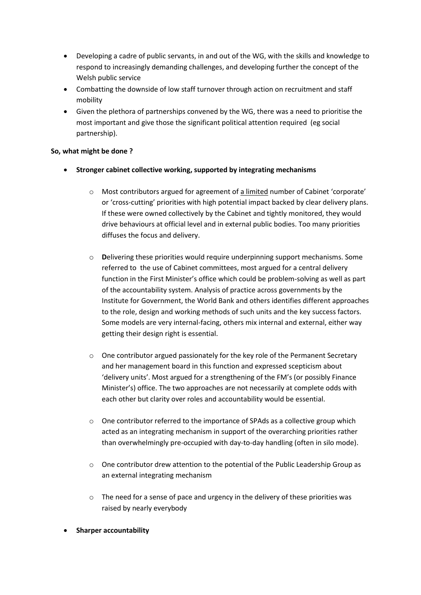- Developing a cadre of public servants, in and out of the WG, with the skills and knowledge to respond to increasingly demanding challenges, and developing further the concept of the Welsh public service
- Combatting the downside of low staff turnover through action on recruitment and staff mobility
- Given the plethora of partnerships convened by the WG, there was a need to prioritise the most important and give those the significant political attention required (eg social partnership).

## **So, what might be done ?**

- **Stronger cabinet collective working, supported by integrating mechanisms**
	- $\circ$  Most contributors argued for agreement of a limited number of Cabinet 'corporate' or 'cross-cutting' priorities with high potential impact backed by clear delivery plans. If these were owned collectively by the Cabinet and tightly monitored, they would drive behaviours at official level and in external public bodies. Too many priorities diffuses the focus and delivery.
	- o **D**elivering these priorities would require underpinning support mechanisms. Some referred to the use of Cabinet committees, most argued for a central delivery function in the First Minister's office which could be problem-solving as well as part of the accountability system. Analysis of practice across governments by the Institute for Government, the World Bank and others identifies different approaches to the role, design and working methods of such units and the key success factors. Some models are very internal-facing, others mix internal and external, either way getting their design right is essential.
	- $\circ$  One contributor argued passionately for the key role of the Permanent Secretary and her management board in this function and expressed scepticism about 'delivery units'. Most argued for a strengthening of the FM's (or possibly Finance Minister's) office. The two approaches are not necessarily at complete odds with each other but clarity over roles and accountability would be essential.
	- o One contributor referred to the importance of SPAds as a collective group which acted as an integrating mechanism in support of the overarching priorities rather than overwhelmingly pre-occupied with day-to-day handling (often in silo mode).
	- $\circ$  One contributor drew attention to the potential of the Public Leadership Group as an external integrating mechanism
	- $\circ$  The need for a sense of pace and urgency in the delivery of these priorities was raised by nearly everybody
- **Sharper accountability**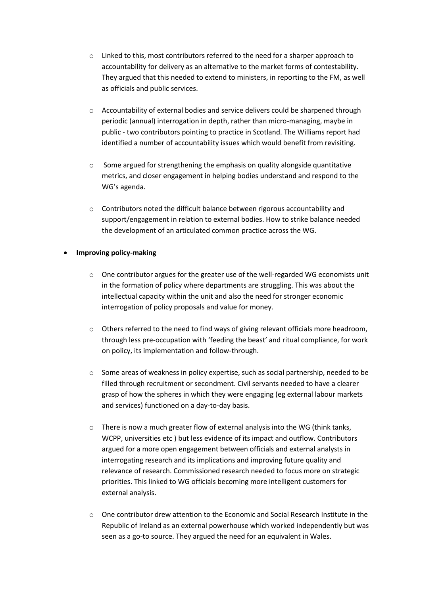- $\circ$  Linked to this, most contributors referred to the need for a sharper approach to accountability for delivery as an alternative to the market forms of contestability. They argued that this needed to extend to ministers, in reporting to the FM, as well as officials and public services.
- o Accountability of external bodies and service delivers could be sharpened through periodic (annual) interrogation in depth, rather than micro-managing, maybe in public - two contributors pointing to practice in Scotland. The Williams report had identified a number of accountability issues which would benefit from revisiting.
- $\circ$  Some argued for strengthening the emphasis on quality alongside quantitative metrics, and closer engagement in helping bodies understand and respond to the WG's agenda.
- o Contributors noted the difficult balance between rigorous accountability and support/engagement in relation to external bodies. How to strike balance needed the development of an articulated common practice across the WG.

### **Improving policy-making**

- $\circ$  One contributor argues for the greater use of the well-regarded WG economists unit in the formation of policy where departments are struggling. This was about the intellectual capacity within the unit and also the need for stronger economic interrogation of policy proposals and value for money.
- $\circ$  Others referred to the need to find ways of giving relevant officials more headroom, through less pre-occupation with 'feeding the beast' and ritual compliance, for work on policy, its implementation and follow-through.
- o Some areas of weakness in policy expertise, such as social partnership, needed to be filled through recruitment or secondment. Civil servants needed to have a clearer grasp of how the spheres in which they were engaging (eg external labour markets and services) functioned on a day-to-day basis.
- o There is now a much greater flow of external analysis into the WG (think tanks, WCPP, universities etc ) but less evidence of its impact and outflow. Contributors argued for a more open engagement between officials and external analysts in interrogating research and its implications and improving future quality and relevance of research. Commissioned research needed to focus more on strategic priorities. This linked to WG officials becoming more intelligent customers for external analysis.
- o One contributor drew attention to the Economic and Social Research Institute in the Republic of Ireland as an external powerhouse which worked independently but was seen as a go-to source. They argued the need for an equivalent in Wales.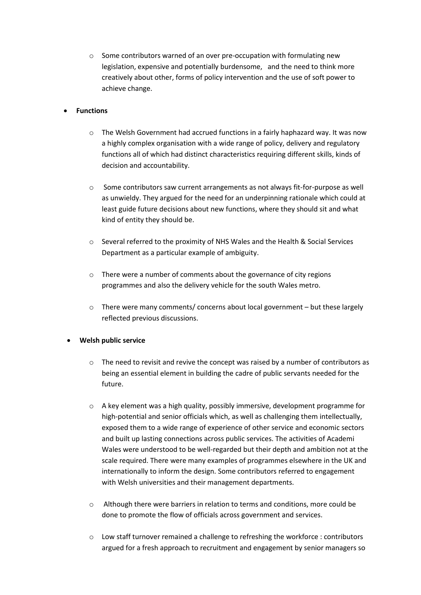o Some contributors warned of an over pre-occupation with formulating new legislation, expensive and potentially burdensome, and the need to think more creatively about other, forms of policy intervention and the use of soft power to achieve change.

## **Functions**

- $\circ$  The Welsh Government had accrued functions in a fairly haphazard way. It was now a highly complex organisation with a wide range of policy, delivery and regulatory functions all of which had distinct characteristics requiring different skills, kinds of decision and accountability.
- o Some contributors saw current arrangements as not always fit-for-purpose as well as unwieldy. They argued for the need for an underpinning rationale which could at least guide future decisions about new functions, where they should sit and what kind of entity they should be.
- o Several referred to the proximity of NHS Wales and the Health & Social Services Department as a particular example of ambiguity.
- o There were a number of comments about the governance of city regions programmes and also the delivery vehicle for the south Wales metro.
- o There were many comments/ concerns about local government but these largely reflected previous discussions.

## **Welsh public service**

- $\circ$  The need to revisit and revive the concept was raised by a number of contributors as being an essential element in building the cadre of public servants needed for the future.
- $\circ$  A key element was a high quality, possibly immersive, development programme for high-potential and senior officials which, as well as challenging them intellectually, exposed them to a wide range of experience of other service and economic sectors and built up lasting connections across public services. The activities of Academi Wales were understood to be well-regarded but their depth and ambition not at the scale required. There were many examples of programmes elsewhere in the UK and internationally to inform the design. Some contributors referred to engagement with Welsh universities and their management departments.
- o Although there were barriers in relation to terms and conditions, more could be done to promote the flow of officials across government and services.
- o Low staff turnover remained a challenge to refreshing the workforce : contributors argued for a fresh approach to recruitment and engagement by senior managers so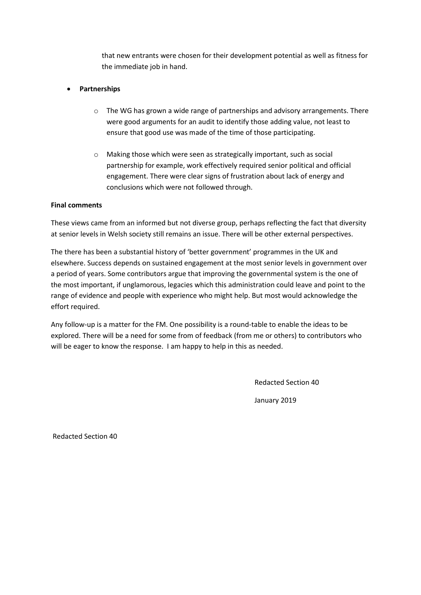that new entrants were chosen for their development potential as well as fitness for the immediate job in hand.

## **Partnerships**

- $\circ$  The WG has grown a wide range of partnerships and advisory arrangements. There were good arguments for an audit to identify those adding value, not least to ensure that good use was made of the time of those participating.
- o Making those which were seen as strategically important, such as social partnership for example, work effectively required senior political and official engagement. There were clear signs of frustration about lack of energy and conclusions which were not followed through.

## **Final comments**

These views came from an informed but not diverse group, perhaps reflecting the fact that diversity at senior levels in Welsh society still remains an issue. There will be other external perspectives.

The there has been a substantial history of 'better government' programmes in the UK and elsewhere. Success depends on sustained engagement at the most senior levels in government over a period of years. Some contributors argue that improving the governmental system is the one of the most important, if unglamorous, legacies which this administration could leave and point to the range of evidence and people with experience who might help. But most would acknowledge the effort required.

Any follow-up is a matter for the FM. One possibility is a round-table to enable the ideas to be explored. There will be a need for some from of feedback (from me or others) to contributors who will be eager to know the response. I am happy to help in this as needed.

Redacted Section 40

January 2019

Redacted Section 40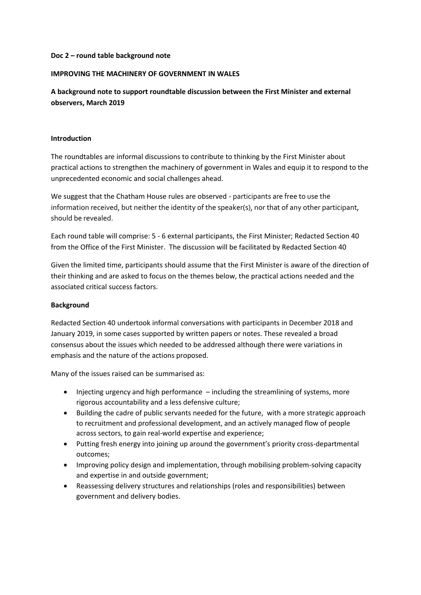#### **Doc 2 – round table background note**

#### **IMPROVING THE MACHINERY OF GOVERNMENT IN WALES**

**A background note to support roundtable discussion between the First Minister and external observers, March 2019** 

#### **Introduction**

The roundtables are informal discussions to contribute to thinking by the First Minister about practical actions to strengthen the machinery of government in Wales and equip it to respond to the unprecedented economic and social challenges ahead.

We suggest that the Chatham House rules are observed - participants are free to use the information received, but neither the identity of the speaker(s), nor that of any other participant, should be revealed.

Each round table will comprise: 5 - 6 external participants, the First Minister; Redacted Section 40 from the Office of the First Minister. The discussion will be facilitated by Redacted Section 40

Given the limited time, participants should assume that the First Minister is aware of the direction of their thinking and are asked to focus on the themes below, the practical actions needed and the associated critical success factors.

### **Background**

Redacted Section 40 undertook informal conversations with participants in December 2018 and January 2019, in some cases supported by written papers or notes. These revealed a broad consensus about the issues which needed to be addressed although there were variations in emphasis and the nature of the actions proposed.

Many of the issues raised can be summarised as:

- Injecting urgency and high performance including the streamlining of systems, more rigorous accountability and a less defensive culture;
- Building the cadre of public servants needed for the future, with a more strategic approach to recruitment and professional development, and an actively managed flow of people across sectors, to gain real-world expertise and experience;
- Putting fresh energy into joining up around the government's priority cross-departmental outcomes;
- Improving policy design and implementation, through mobilising problem-solving capacity and expertise in and outside government;
- Reassessing delivery structures and relationships (roles and responsibilities) between government and delivery bodies.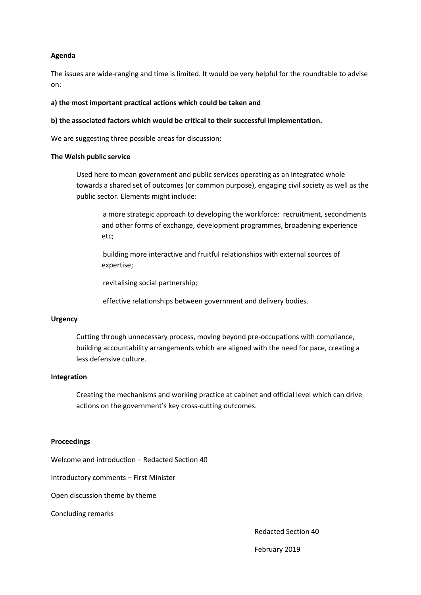### **Agenda**

The issues are wide-ranging and time is limited. It would be very helpful for the roundtable to advise on:

#### **a) the most important practical actions which could be taken and**

#### **b) the associated factors which would be critical to their successful implementation.**

We are suggesting three possible areas for discussion:

#### **The Welsh public service**

Used here to mean government and public services operating as an integrated whole towards a shared set of outcomes (or common purpose), engaging civil society as well as the public sector. Elements might include:

a more strategic approach to developing the workforce: recruitment, secondments and other forms of exchange, development programmes, broadening experience etc;

building more interactive and fruitful relationships with external sources of expertise;

revitalising social partnership;

effective relationships between government and delivery bodies.

#### **Urgency**

Cutting through unnecessary process, moving beyond pre-occupations with compliance, building accountability arrangements which are aligned with the need for pace, creating a less defensive culture.

#### **Integration**

Creating the mechanisms and working practice at cabinet and official level which can drive actions on the government's key cross-cutting outcomes.

#### **Proceedings**

Welcome and introduction – Redacted Section 40

Introductory comments – First Minister

Open discussion theme by theme

Concluding remarks

Redacted Section 40

February 2019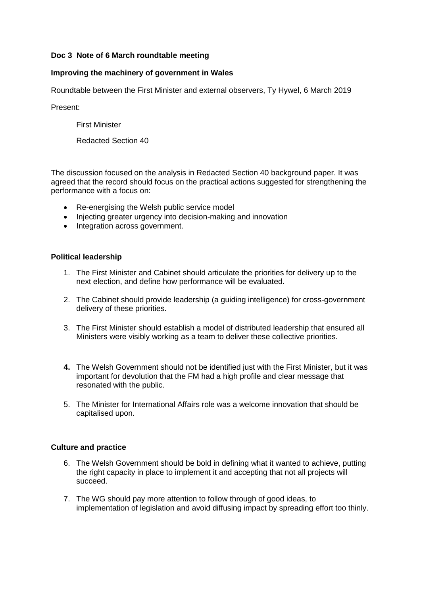## **Doc 3 Note of 6 March roundtable meeting**

## **Improving the machinery of government in Wales**

Roundtable between the First Minister and external observers, Ty Hywel, 6 March 2019

Present:

First Minister

Redacted Section 40

The discussion focused on the analysis in Redacted Section 40 background paper. It was agreed that the record should focus on the practical actions suggested for strengthening the performance with a focus on:

- Re-energising the Welsh public service model
- Injecting greater urgency into decision-making and innovation
- Integration across government.

## **Political leadership**

- 1. The First Minister and Cabinet should articulate the priorities for delivery up to the next election, and define how performance will be evaluated.
- 2. The Cabinet should provide leadership (a guiding intelligence) for cross-government delivery of these priorities.
- 3. The First Minister should establish a model of distributed leadership that ensured all Ministers were visibly working as a team to deliver these collective priorities.
- **4.** The Welsh Government should not be identified just with the First Minister, but it was important for devolution that the FM had a high profile and clear message that resonated with the public.
- 5. The Minister for International Affairs role was a welcome innovation that should be capitalised upon.

## **Culture and practice**

- 6. The Welsh Government should be bold in defining what it wanted to achieve, putting the right capacity in place to implement it and accepting that not all projects will succeed.
- 7. The WG should pay more attention to follow through of good ideas, to implementation of legislation and avoid diffusing impact by spreading effort too thinly.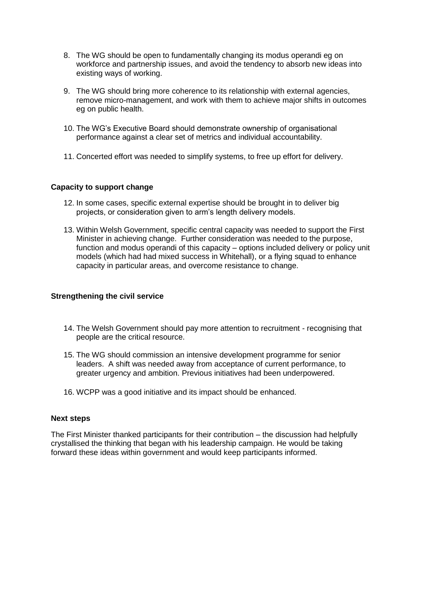- 8. The WG should be open to fundamentally changing its modus operandi eg on workforce and partnership issues, and avoid the tendency to absorb new ideas into existing ways of working.
- 9. The WG should bring more coherence to its relationship with external agencies, remove micro-management, and work with them to achieve major shifts in outcomes eg on public health.
- 10. The WG's Executive Board should demonstrate ownership of organisational performance against a clear set of metrics and individual accountability.
- 11. Concerted effort was needed to simplify systems, to free up effort for delivery.

### **Capacity to support change**

- 12. In some cases, specific external expertise should be brought in to deliver big projects, or consideration given to arm's length delivery models.
- 13. Within Welsh Government, specific central capacity was needed to support the First Minister in achieving change. Further consideration was needed to the purpose, function and modus operandi of this capacity – options included delivery or policy unit models (which had had mixed success in Whitehall), or a flying squad to enhance capacity in particular areas, and overcome resistance to change.

### **Strengthening the civil service**

- 14. The Welsh Government should pay more attention to recruitment recognising that people are the critical resource.
- 15. The WG should commission an intensive development programme for senior leaders. A shift was needed away from acceptance of current performance, to greater urgency and ambition. Previous initiatives had been underpowered.
- 16. WCPP was a good initiative and its impact should be enhanced.

### **Next steps**

The First Minister thanked participants for their contribution – the discussion had helpfully crystallised the thinking that began with his leadership campaign. He would be taking forward these ideas within government and would keep participants informed.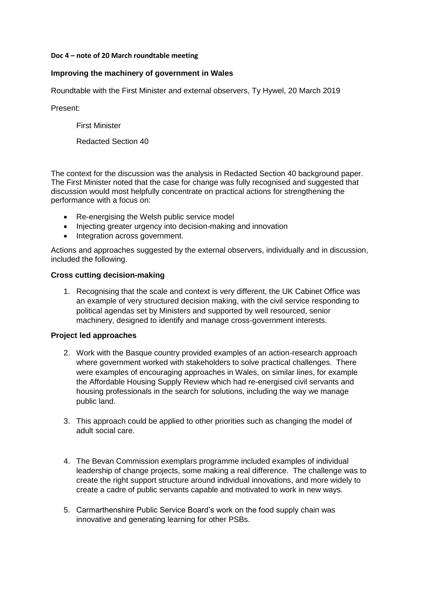### **Doc 4 – note of 20 March roundtable meeting**

## **Improving the machinery of government in Wales**

Roundtable with the First Minister and external observers, Ty Hywel, 20 March 2019

Present:

First Minister

Redacted Section 40

The context for the discussion was the analysis in Redacted Section 40 background paper. The First Minister noted that the case for change was fully recognised and suggested that discussion would most helpfully concentrate on practical actions for strengthening the performance with a focus on:

- Re-energising the Welsh public service model
- Injecting greater urgency into decision-making and innovation
- Integration across government.

Actions and approaches suggested by the external observers, individually and in discussion, included the following.

## **Cross cutting decision-making**

1. Recognising that the scale and context is very different, the UK Cabinet Office was an example of very structured decision making, with the civil service responding to political agendas set by Ministers and supported by well resourced, senior machinery, designed to identify and manage cross-government interests.

## **Project led approaches**

- 2. Work with the Basque country provided examples of an action-research approach where government worked with stakeholders to solve practical challenges. There were examples of encouraging approaches in Wales, on similar lines, for example the Affordable Housing Supply Review which had re-energised civil servants and housing professionals in the search for solutions, including the way we manage public land.
- 3. This approach could be applied to other priorities such as changing the model of adult social care.
- 4. The Bevan Commission exemplars programme included examples of individual leadership of change projects, some making a real difference. The challenge was to create the right support structure around individual innovations, and more widely to create a cadre of public servants capable and motivated to work in new ways.
- 5. Carmarthenshire Public Service Board's work on the food supply chain was innovative and generating learning for other PSBs.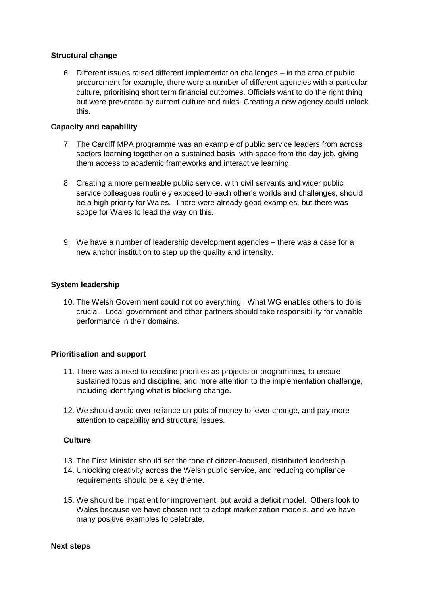### **Structural change**

6. Different issues raised different implementation challenges – in the area of public procurement for example, there were a number of different agencies with a particular culture, prioritising short term financial outcomes. Officials want to do the right thing but were prevented by current culture and rules. Creating a new agency could unlock this.

## **Capacity and capability**

- 7. The Cardiff MPA programme was an example of public service leaders from across sectors learning together on a sustained basis, with space from the day job, giving them access to academic frameworks and interactive learning.
- 8. Creating a more permeable public service, with civil servants and wider public service colleagues routinely exposed to each other's worlds and challenges, should be a high priority for Wales. There were already good examples, but there was scope for Wales to lead the way on this.
- 9. We have a number of leadership development agencies there was a case for a new anchor institution to step up the quality and intensity.

## **System leadership**

10. The Welsh Government could not do everything. What WG enables others to do is crucial. Local government and other partners should take responsibility for variable performance in their domains.

## **Prioritisation and support**

- 11. There was a need to redefine priorities as projects or programmes, to ensure sustained focus and discipline, and more attention to the implementation challenge, including identifying what is blocking change.
- 12. We should avoid over reliance on pots of money to lever change, and pay more attention to capability and structural issues.

### **Culture**

- 13. The First Minister should set the tone of citizen-focused, distributed leadership.
- 14. Unlocking creativity across the Welsh public service, and reducing compliance requirements should be a key theme.
- 15. We should be impatient for improvement, but avoid a deficit model. Others look to Wales because we have chosen not to adopt marketization models, and we have many positive examples to celebrate.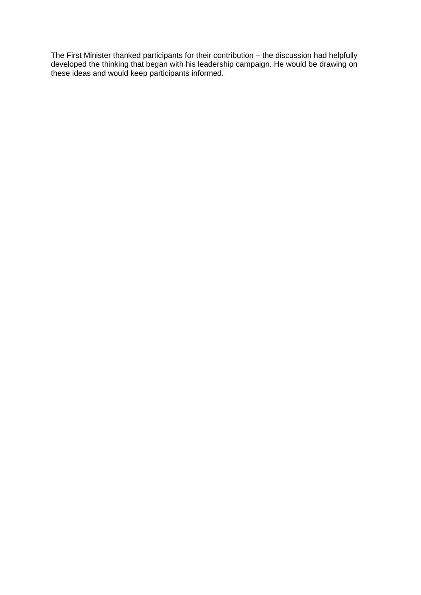The First Minister thanked participants for their contribution – the discussion had helpfully developed the thinking that began with his leadership campaign. He would be drawing on these ideas and would keep participants informed.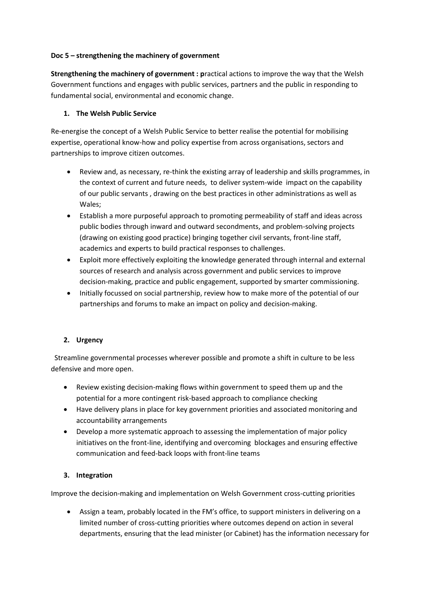### **Doc 5 – strengthening the machinery of government**

**Strengthening the machinery of government : p**ractical actions to improve the way that the Welsh Government functions and engages with public services, partners and the public in responding to fundamental social, environmental and economic change.

## **1. The Welsh Public Service**

Re-energise the concept of a Welsh Public Service to better realise the potential for mobilising expertise, operational know-how and policy expertise from across organisations, sectors and partnerships to improve citizen outcomes.

- Review and, as necessary, re-think the existing array of leadership and skills programmes, in the context of current and future needs, to deliver system-wide impact on the capability of our public servants , drawing on the best practices in other administrations as well as Wales;
- Establish a more purposeful approach to promoting permeability of staff and ideas across public bodies through inward and outward secondments, and problem-solving projects (drawing on existing good practice) bringing together civil servants, front-line staff, academics and experts to build practical responses to challenges.
- Exploit more effectively exploiting the knowledge generated through internal and external sources of research and analysis across government and public services to improve decision-making, practice and public engagement, supported by smarter commissioning.
- Initially focussed on social partnership, review how to make more of the potential of our partnerships and forums to make an impact on policy and decision-making.

## **2. Urgency**

 Streamline governmental processes wherever possible and promote a shift in culture to be less defensive and more open.

- Review existing decision-making flows within government to speed them up and the potential for a more contingent risk-based approach to compliance checking
- Have delivery plans in place for key government priorities and associated monitoring and accountability arrangements
- Develop a more systematic approach to assessing the implementation of major policy initiatives on the front-line, identifying and overcoming blockages and ensuring effective communication and feed-back loops with front-line teams

## **3. Integration**

Improve the decision-making and implementation on Welsh Government cross-cutting priorities

 Assign a team, probably located in the FM's office, to support ministers in delivering on a limited number of cross-cutting priorities where outcomes depend on action in several departments, ensuring that the lead minister (or Cabinet) has the information necessary for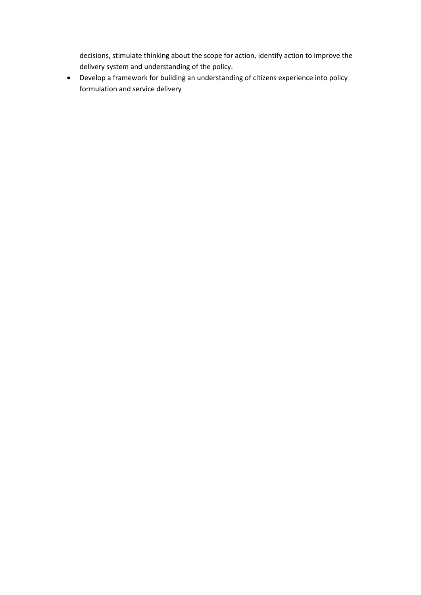decisions, stimulate thinking about the scope for action, identify action to improve the delivery system and understanding of the policy.

 Develop a framework for building an understanding of citizens experience into policy formulation and service delivery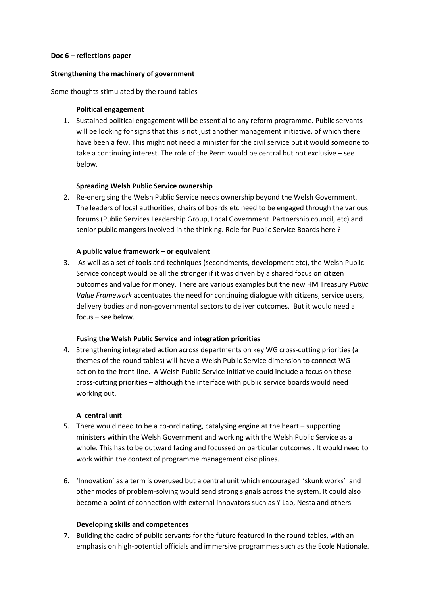#### **Doc 6 – reflections paper**

#### **Strengthening the machinery of government**

#### Some thoughts stimulated by the round tables

### **Political engagement**

1. Sustained political engagement will be essential to any reform programme. Public servants will be looking for signs that this is not just another management initiative, of which there have been a few. This might not need a minister for the civil service but it would someone to take a continuing interest. The role of the Perm would be central but not exclusive – see below.

### **Spreading Welsh Public Service ownership**

2. Re-energising the Welsh Public Service needs ownership beyond the Welsh Government. The leaders of local authorities, chairs of boards etc need to be engaged through the various forums (Public Services Leadership Group, Local Government Partnership council, etc) and senior public mangers involved in the thinking. Role for Public Service Boards here ?

#### **A public value framework – or equivalent**

3. As well as a set of tools and techniques (secondments, development etc), the Welsh Public Service concept would be all the stronger if it was driven by a shared focus on citizen outcomes and value for money. There are various examples but the new HM Treasury *Public Value Framework* accentuates the need for continuing dialogue with citizens, service users, delivery bodies and non-governmental sectors to deliver outcomes. But it would need a focus – see below.

#### **Fusing the Welsh Public Service and integration priorities**

4. Strengthening integrated action across departments on key WG cross-cutting priorities (a themes of the round tables) will have a Welsh Public Service dimension to connect WG action to the front-line. A Welsh Public Service initiative could include a focus on these cross-cutting priorities – although the interface with public service boards would need working out.

#### **A central unit**

- 5. There would need to be a co-ordinating, catalysing engine at the heart supporting ministers within the Welsh Government and working with the Welsh Public Service as a whole. This has to be outward facing and focussed on particular outcomes . It would need to work within the context of programme management disciplines.
- 6. 'Innovation' as a term is overused but a central unit which encouraged 'skunk works' and other modes of problem-solving would send strong signals across the system. It could also become a point of connection with external innovators such as Y Lab, Nesta and others

#### **Developing skills and competences**

7. Building the cadre of public servants for the future featured in the round tables, with an emphasis on high-potential officials and immersive programmes such as the Ecole Nationale.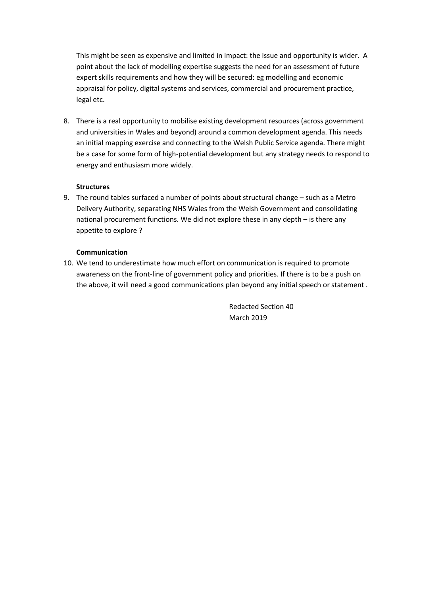This might be seen as expensive and limited in impact: the issue and opportunity is wider. A point about the lack of modelling expertise suggests the need for an assessment of future expert skills requirements and how they will be secured: eg modelling and economic appraisal for policy, digital systems and services, commercial and procurement practice, legal etc.

8. There is a real opportunity to mobilise existing development resources (across government and universities in Wales and beyond) around a common development agenda. This needs an initial mapping exercise and connecting to the Welsh Public Service agenda. There might be a case for some form of high-potential development but any strategy needs to respond to energy and enthusiasm more widely.

### **Structures**

9. The round tables surfaced a number of points about structural change – such as a Metro Delivery Authority, separating NHS Wales from the Welsh Government and consolidating national procurement functions. We did not explore these in any depth – is there any appetite to explore ?

### **Communication**

10. We tend to underestimate how much effort on communication is required to promote awareness on the front-line of government policy and priorities. If there is to be a push on the above, it will need a good communications plan beyond any initial speech or statement .

> Redacted Section 40 March 2019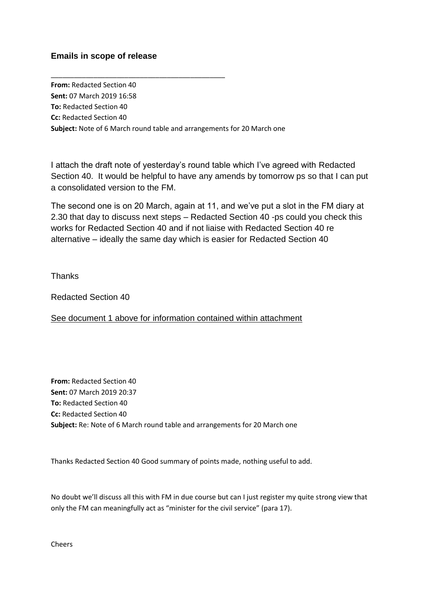# **Emails in scope of release**

**From:** Redacted Section 40 **Sent:** 07 March 2019 16:58 **To:** Redacted Section 40 **Cc:** Redacted Section 40 **Subject:** Note of 6 March round table and arrangements for 20 March one

\_\_\_\_\_\_\_\_\_\_\_\_\_\_\_\_\_\_\_\_\_\_\_\_\_\_\_\_\_\_\_\_\_\_\_\_\_\_\_\_\_\_\_\_\_

I attach the draft note of yesterday's round table which I've agreed with Redacted Section 40. It would be helpful to have any amends by tomorrow ps so that I can put a consolidated version to the FM.

The second one is on 20 March, again at 11, and we've put a slot in the FM diary at 2.30 that day to discuss next steps – Redacted Section 40 -ps could you check this works for Redacted Section 40 and if not liaise with Redacted Section 40 re alternative – ideally the same day which is easier for Redacted Section 40

**Thanks** 

Redacted Section 40

See document 1 above for information contained within attachment

**From:** Redacted Section 40 **Sent:** 07 March 2019 20:37 **To:** Redacted Section 40 **Cc:** Redacted Section 40 **Subject:** Re: Note of 6 March round table and arrangements for 20 March one

Thanks Redacted Section 40 Good summary of points made, nothing useful to add.

No doubt we'll discuss all this with FM in due course but can I just register my quite strong view that only the FM can meaningfully act as "minister for the civil service" (para 17).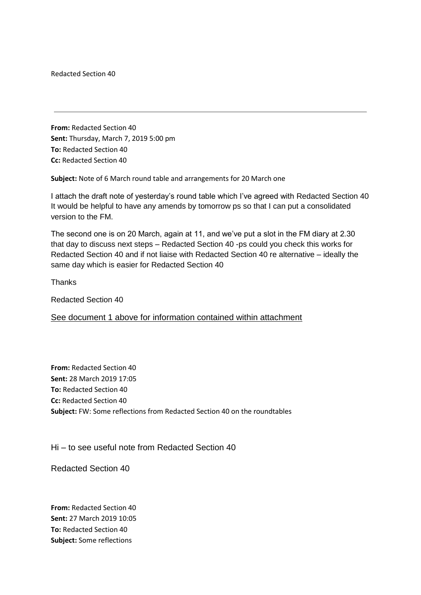Redacted Section 40

**From:** Redacted Section 40 **Sent:** Thursday, March 7, 2019 5:00 pm **To:** Redacted Section 40 **Cc:** Redacted Section 40

**Subject:** Note of 6 March round table and arrangements for 20 March one

I attach the draft note of yesterday's round table which I've agreed with Redacted Section 40 It would be helpful to have any amends by tomorrow ps so that I can put a consolidated version to the FM.

The second one is on 20 March, again at 11, and we've put a slot in the FM diary at 2.30 that day to discuss next steps – Redacted Section 40 -ps could you check this works for Redacted Section 40 and if not liaise with Redacted Section 40 re alternative – ideally the same day which is easier for Redacted Section 40

**Thanks** 

Redacted Section 40

See document 1 above for information contained within attachment

**From:** Redacted Section 40 **Sent:** 28 March 2019 17:05 **To:** Redacted Section 40 **Cc:** Redacted Section 40 **Subject:** FW: Some reflections from Redacted Section 40 on the roundtables

Hi – to see useful note from Redacted Section 40

Redacted Section 40

**From:** Redacted Section 40 **Sent:** 27 March 2019 10:05 **To:** Redacted Section 40 **Subject:** Some reflections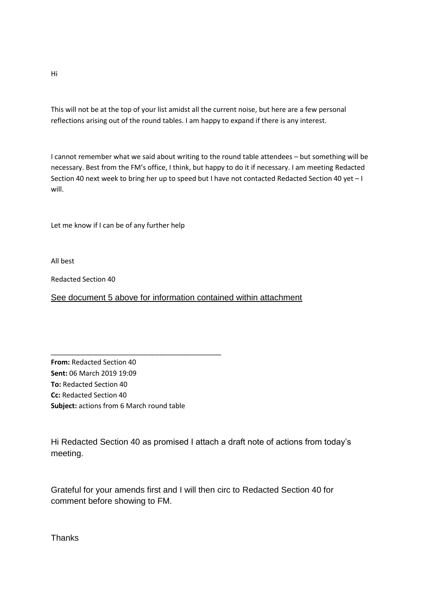This will not be at the top of your list amidst all the current noise, but here are a few personal reflections arising out of the round tables. I am happy to expand if there is any interest.

I cannot remember what we said about writing to the round table attendees – but something will be necessary. Best from the FM's office, I think, but happy to do it if necessary. I am meeting Redacted Section 40 next week to bring her up to speed but I have not contacted Redacted Section 40 yet – I will.

Let me know if I can be of any further help

All best

Redacted Section 40

See document 5 above for information contained within attachment

**From:** Redacted Section 40 **Sent:** 06 March 2019 19:09 **To:** Redacted Section 40 **Cc:** Redacted Section 40 **Subject:** actions from 6 March round table

\_\_\_\_\_\_\_\_\_\_\_\_\_\_\_\_\_\_\_\_\_\_\_\_\_\_\_\_\_\_\_\_\_\_\_\_\_\_\_\_\_\_\_\_

Hi Redacted Section 40 as promised I attach a draft note of actions from today's meeting.

Grateful for your amends first and I will then circ to Redacted Section 40 for comment before showing to FM.

Hi

**Thanks**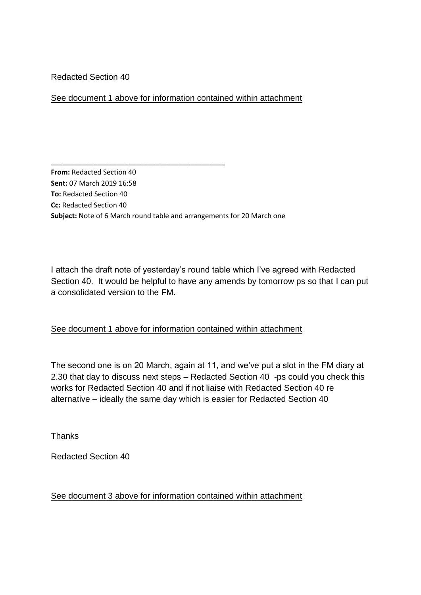Redacted Section 40

# See document 1 above for information contained within attachment

**From:** Redacted Section 40 **Sent:** 07 March 2019 16:58 **To:** Redacted Section 40 **Cc:** Redacted Section 40 **Subject:** Note of 6 March round table and arrangements for 20 March one

\_\_\_\_\_\_\_\_\_\_\_\_\_\_\_\_\_\_\_\_\_\_\_\_\_\_\_\_\_\_\_\_\_\_\_\_\_\_\_\_\_\_\_\_\_

I attach the draft note of yesterday's round table which I've agreed with Redacted Section 40. It would be helpful to have any amends by tomorrow ps so that I can put a consolidated version to the FM.

# See document 1 above for information contained within attachment

The second one is on 20 March, again at 11, and we've put a slot in the FM diary at 2.30 that day to discuss next steps – Redacted Section 40 -ps could you check this works for Redacted Section 40 and if not liaise with Redacted Section 40 re alternative – ideally the same day which is easier for Redacted Section 40

**Thanks** 

Redacted Section 40

# See document 3 above for information contained within attachment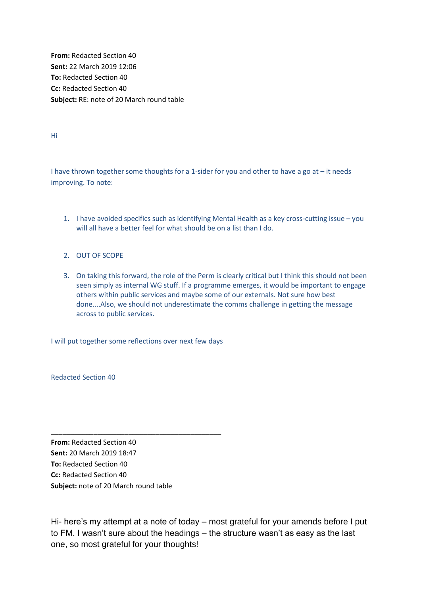**From:** Redacted Section 40 **Sent:** 22 March 2019 12:06 **To:** Redacted Section 40 **Cc:** Redacted Section 40 **Subject:** RE: note of 20 March round table

Hi

I have thrown together some thoughts for a 1-sider for you and other to have a go at – it needs improving. To note:

- 1. I have avoided specifics such as identifying Mental Health as a key cross-cutting issue you will all have a better feel for what should be on a list than I do.
- 2. OUT OF SCOPE
- 3. On taking this forward, the role of the Perm is clearly critical but I think this should not been seen simply as internal WG stuff. If a programme emerges, it would be important to engage others within public services and maybe some of our externals. Not sure how best done....Also, we should not underestimate the comms challenge in getting the message across to public services.

I will put together some reflections over next few days

\_\_\_\_\_\_\_\_\_\_\_\_\_\_\_\_\_\_\_\_\_\_\_\_\_\_\_\_\_\_\_\_\_\_\_\_\_\_\_\_\_\_\_\_

Redacted Section 40

**From:** Redacted Section 40 **Sent:** 20 March 2019 18:47 **To:** Redacted Section 40 **Cc:** Redacted Section 40 **Subject:** note of 20 March round table

Hi- here's my attempt at a note of today – most grateful for your amends before I put to FM. I wasn't sure about the headings – the structure wasn't as easy as the last one, so most grateful for your thoughts!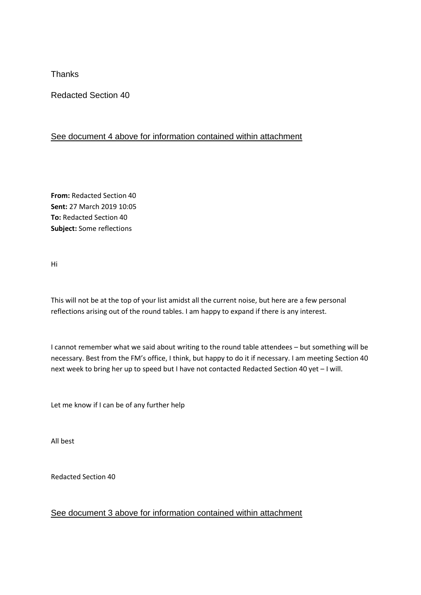**Thanks** 

Redacted Section 40

# See document 4 above for information contained within attachment

**From:** Redacted Section 40 **Sent:** 27 March 2019 10:05 **To:** Redacted Section 40 **Subject:** Some reflections

Hi

This will not be at the top of your list amidst all the current noise, but here are a few personal reflections arising out of the round tables. I am happy to expand if there is any interest.

I cannot remember what we said about writing to the round table attendees – but something will be necessary. Best from the FM's office, I think, but happy to do it if necessary. I am meeting Section 40 next week to bring her up to speed but I have not contacted Redacted Section 40 yet – I will.

Let me know if I can be of any further help

All best

Redacted Section 40

# See document 3 above for information contained within attachment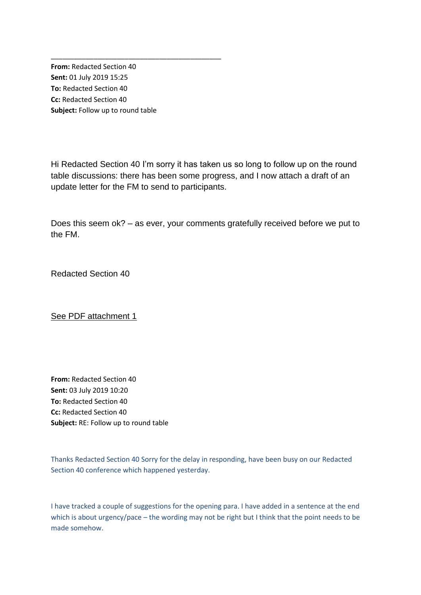**From:** Redacted Section 40 **Sent:** 01 July 2019 15:25 **To:** Redacted Section 40 **Cc:** Redacted Section 40 **Subject:** Follow up to round table

\_\_\_\_\_\_\_\_\_\_\_\_\_\_\_\_\_\_\_\_\_\_\_\_\_\_\_\_\_\_\_\_\_\_\_\_\_\_\_\_\_\_\_\_

Hi Redacted Section 40 I'm sorry it has taken us so long to follow up on the round table discussions: there has been some progress, and I now attach a draft of an update letter for the FM to send to participants.

Does this seem ok? – as ever, your comments gratefully received before we put to the FM.

Redacted Section 40

See PDF attachment 1

**From:** Redacted Section 40 **Sent:** 03 July 2019 10:20 **To:** Redacted Section 40 **Cc:** Redacted Section 40 **Subject:** RE: Follow up to round table

Thanks Redacted Section 40 Sorry for the delay in responding, have been busy on our Redacted Section 40 conference which happened yesterday.

I have tracked a couple of suggestions for the opening para. I have added in a sentence at the end which is about urgency/pace – the wording may not be right but I think that the point needs to be made somehow.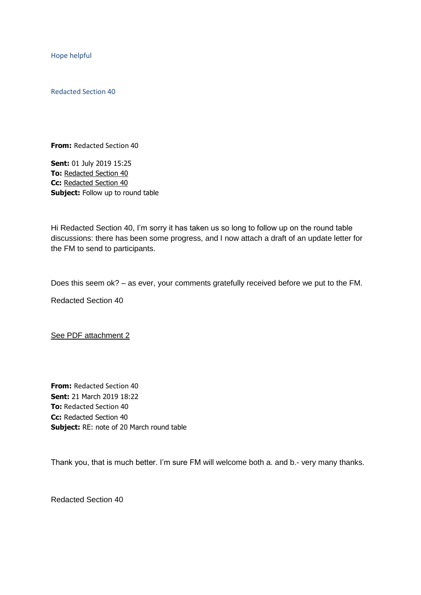Hope helpful

Redacted Section 40

**From:** Redacted Section 40

**Sent:** 01 July 2019 15:25 **To:** [Redacted](mailto:michael-trickey@virginmedia.com) Section 40 **Cc:** [Redacted](mailto:PS.FirstMinister@gov.wales) Section 40 **Subject:** Follow up to round table

Hi Redacted Section 40, I'm sorry it has taken us so long to follow up on the round table discussions: there has been some progress, and I now attach a draft of an update letter for the FM to send to participants.

Does this seem ok? – as ever, your comments gratefully received before we put to the FM.

Redacted Section 40

See PDF attachment 2

**From:** Redacted Section 40 **Sent:** 21 March 2019 18:22 **To:** Redacted Section 40 **Cc:** Redacted Section 40 **Subject:** RE: note of 20 March round table

Thank you, that is much better. I'm sure FM will welcome both a. and b.- very many thanks.

Redacted Section 40